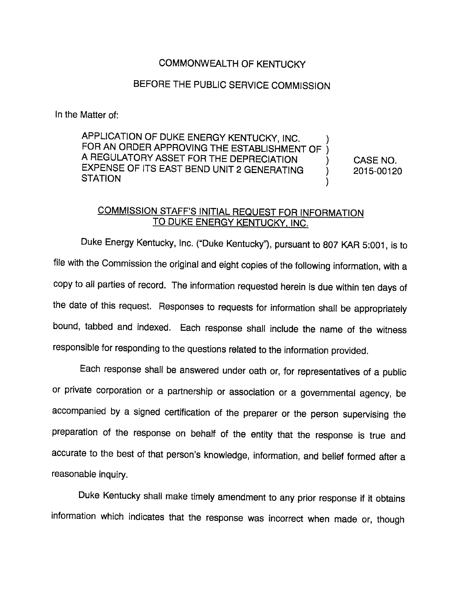## COMMONWEALTH OF KENTUCKY

## BEFORE THE PUBLIC SERVICE COMMISSION

In the Matter of:

APPLICATION OF DUKE ENERGY KENTUCKY, INC. FOR AN ORDER APPROVING THE ESTABLISHMENT OF ) A REGULATORY ASSET FOR THE DEPRECIATION EXPENSE OF ITS EAST BEND UNIT 2 GENERATING  $\mathcal{E}$ STATION

CASE NO. 2015-00120

## COMMISSION STAFF'S INITIAL REQUEST FOR INFORMATION TO DUKE ENERGY KENTUCKY. INC.

Duke Energy Kentucky, Inc. ("Duke Kentucky"), pursuant to 807 KAR 5:001, is to file with the Commission the original and eight copies of the following information, with a copy to all parties of record. The information requested herein is due within ten days of the date of this request. Responses to requests for information shall be appropriately bound, tabbed and indexed. Each response shall include the name of the witness responsible for responding to the questions related to the information provided.

Each response shail be answered under oath or, for representatives of a public or private corporation or a partnership or association or a governmental agency, be accompanied by a signed certification of the preparer or the person supervising the preparation of the response on behalf of the entity that the response is true and accurate to the best of that person's knowledge, information, and belief formed after a reasonable inquiry.

Duke Kentucky shall make timely amendment to any prior response if it obtains information which indicates that the response was incorrect when made or, though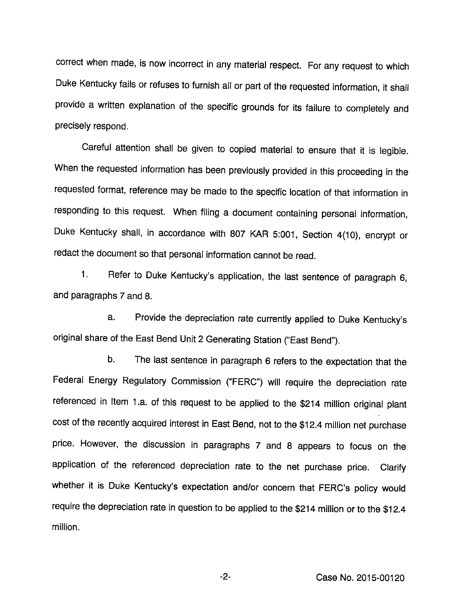correct when made, is now incorrect in any materiai respect. For any request to which Duke Kentucky faiis or refuses to furnish all or part of the requested information, it shall provide a written explanation of the specific grounds for its failure to completely and precisely respond.

Careful attention shall be given to copied material to ensure that it is legible. When the requested information has been previously provided in this proceeding in the requested format, reference may be made to the specific location of that information in responding to this request. When filing a document containing personal information. Duke Kentucky shall, in accordance with 807 KAR 5:001, Section 4(10), encrypt or redact the document so that personal information cannot be read.

1. Refer to Duke Kentucky's application, the last sentence of paragraph 6, and paragraphs 7 and 8.

a. Provide the depreciation rate currently applied to Duke Kentucky's original share of the East Bend Unit 2 Generating Station ("East Bend").

b. The last sentence in paragraph 6 refers to the expectation that the Federal Energy Regulatory Commission ("FERC") will require the depreciation rate referenced in Item 1.a. of this request to be applied to the \$214 million original plant cost of the recently acquired interest in East Bend, not to the \$12.4 million net purchase price. However, the discussion in paragraphs 7 and 8 appears to focus on the application of the referenced depreciation rate to the net purchase price. Clarify whether it is Duke Kentucky's expectation and/or concern that FERC's policy would require the depreciation rate in question to be applied to the \$214 million or to the \$12.4 million.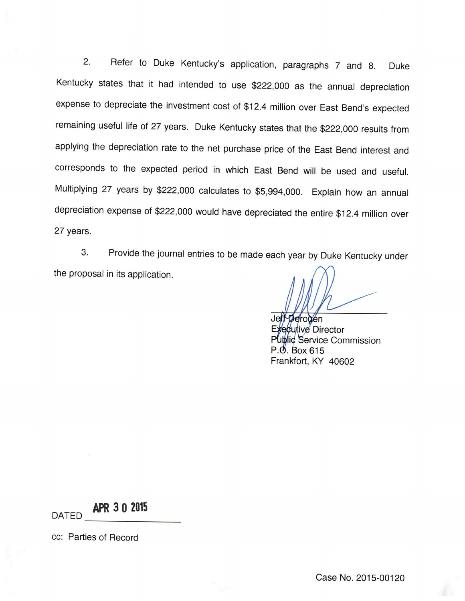2. Refer to Duke Kentucky's application, paragraphs 7 and 8. Duke Kentucky states that it had intended to use \$222,000 as the annual depreciation expense to depreciate the investment cost of \$12.4 million over East Bend's expected remaining useful life of 27 years. Duke Kentucky states that the \$222,000 results from applying the depreciation rate to the net purchase price of the East Bend interest and corresponds to the expected period in which East Bend will be used and useful. Multiplying 27 years by \$222,000 calculates to \$5,994,000. Explain how an annual depreciation expense of \$222,000 would have depreciated the entire \$12.4 million over 27 years.

3. Provide the journal entries to be made each year by Duke Kentucky under the proposal in its application.

 $D$ erouen ecutive Director Public Service Commission  $P.\Phi$ . Box 615 Frankfort, KY 40602

APR 3 0 2015

cc: Parties of Record

DATED